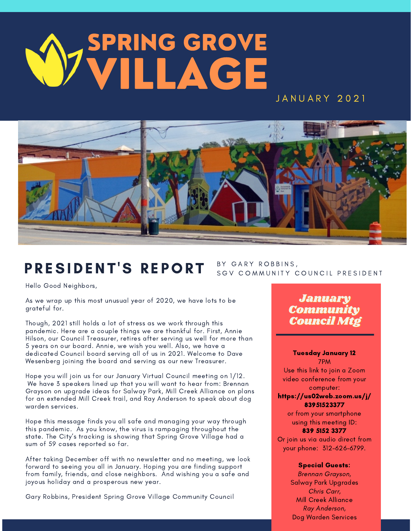# J A N U A R Y 2021 SPRING GROVE VILLAGE



# PRESIDENT'S REPORT

BY GARY ROBBINS, SGV COMMUNITY COUNCIL PRESIDENT

Hello Good Neighbors,

As we wrap up this most unusual year of 2020, we have lots to be grateful for.

Though, 2021 still holds a lot of stress as we work through this pandemic. Here are a couple things we are thankful for. First, Annie Hilson, our Council Treasurer, retires after serving us well for more than 5 years on our board. Annie, we wish you well. Also, we have a dedicated Council board serving all of us in 2021. Welcome to Dave Wesenberg joining the board and serving as our new Treasurer.

Hope you will join us for our January Virtual Council meeting on 1/12. We have 3 speakers lined up that you will want to hear from: Brennan Grayson on upgrade ideas for Salway Park, Mill Creek Alliance on plans for an extended Mill Creek trail, and Ray Anderson to speak about dog warden services.

Hope this message finds you all safe and managing your way through this pandemic. As you know, the virus is rampaging throughout the state. The City's tracking is showing that Spring Grove Village had a sum of 59 cases reported so far.

After taking December off with no newsletter and no meeting, we look forward to seeing you all in January. Hoping you are finding support from family, friends, and close neighbors. And wishing you a safe and joyous holiday and a prosperous new year.

Gary Robbins, President Spring Grove Village Community Council

# January Community Council Mtg

#### Tuesday January 12 7PM

Use this link to join a Zoom video conference from your computer:

#### https://us02web.zoom.us/j/ 83951523377

or from your smartphone using this meeting ID: 839 5152 3377

Or join us via audio direct from your phone: 312-626-6799.

#### Special Guests:

Brennan Grayson, Salway Park Upgrades Chris Carr, Mill Creek Alliance Ray Anderson, Dog Warden Services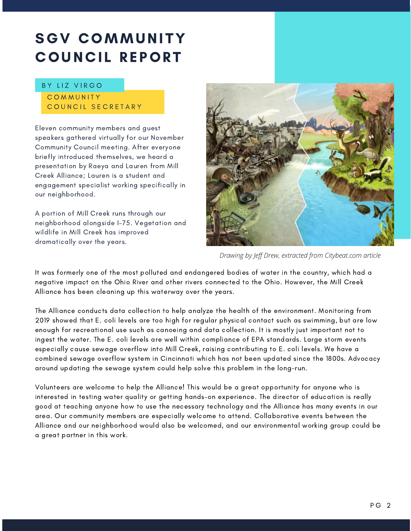# SGV COMMUNITY **COUNCIL REPORT**

#### BY LIZ VIRGO

#### **COMMUNITY** COUNCIL SECRETARY

Eleven community members and guest speakers gathered virtually for our November Community Council meeting. After everyone briefly introduced themselves, we heard a presentation by Raeya and Lauren from Mill Creek Alliance; Lauren is a student and engagement specialist working specifically in our neighborhood.

A portion of Mill Creek runs through our neighborhood alongside I-75. Vegetation and wildlife in Mill Creek has improved dramatically over the years.



*Drawing by Jeff Drew, extracted from Citybeat.com article*

It was formerly one of the most polluted and endangered bodies of water in the country, which had a negative impact on the Ohio River and other rivers connected to the Ohio. However, the Mill Creek Alliance has been cleaning up this waterway over the years.

The Alliance conducts data collection to help analyze the health of the environment. Monitoring from 2019 showed that E. coli levels are too high for regular physical contact such as swimming, but are low enough for recreational use such as canoeing and data collection. It is mostly just important not to ingest the water. The E. coli levels are well within compliance of EPA standards. Large storm events especially cause sewage overflow into Mill Creek, raising contributing to E. coli levels. We have a combined sewage overflow system in Cincinnati which has not been updated since the 1800s. Advocacy around updating the sewage system could help solve this problem in the long-run.

Volunteers are welcome to help the Alliance! This would be a great opportunity for anyone who is interested in testing water quality or getting hands-on experience. The director of education is really good at teaching anyone how to use the necessary technology and the Alliance has many events in our area. Our community members are especially welcome to attend. Collaborative events between the Alliance and our neighborhood would also be welcomed, and our environmental working group could be a great partner in this work.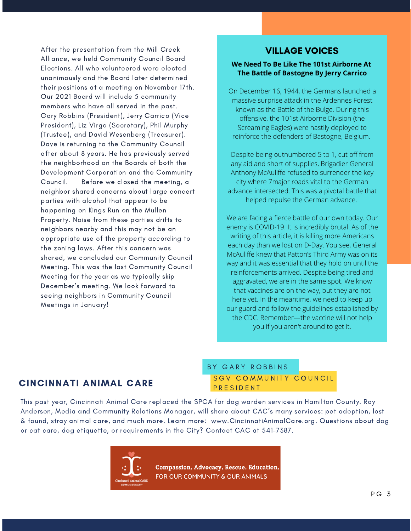After the presentation from the Mill Creek Alliance, we held Community Council Board Elections. All who volunteered were elected unanimously and the Board later determined their positions at a meeting on November 17th. Our 2021 Board will include 5 community members who have all served in the past. Gary Robbins (President), Jerry Carrico (Vice President), Liz Virgo (Secretary), Phil Murphy (Trustee), and David Wesenberg (Treasurer). Dave is returning to the Community Council after about 8 years. He has previously served the neighborhood on the Boards of both the Development Corporation and the Community Council. Before we closed the meeting, a neighbor shared concerns about large concert parties with alcohol that appear to be happening on Kings Run on the Mullen Property. Noise from these parties drifts to neighbors nearby and this may not be an appropriate use of the property according to the zoning laws. After this concern was shared, we concluded our Community Council Meeting. This was the last Community Council Meeting for the year as we typically skip December's meeting. We look forward to seeing neighbors in Community Council Meetings in January!

### VILLAGE VOICES

#### **We Need To Be Like The 101st Airborne At The Battle of Bastogne By Jerry Carrico**

On December 16, 1944, the Germans launched a massive surprise attack in the Ardennes Forest known as the Battle of the Bulge. During this offensive, the 101st Airborne Division (the Screaming Eagles) were hastily deployed to reinforce the defenders of Bastogne, Belgium.

Despite being outnumbered 5 to 1, cut off from any aid and short of supplies, Brigadier General Anthony McAuliffe refused to surrender the key city where 7major roads vital to the German advance intersected. This was a pivotal battle that helped repulse the German advance.

We are facing a fierce battle of our own today. Our enemy is COVID-19. It is incredibly brutal. As of the writing of this article, it is killing more Americans each day than we lost on D-Day. You see, General McAuliffe knew that Patton's Third Army was on its way and it was essential that they hold on until the reinforcements arrived. Despite being tired and aggravated, we are in the same spot. We know that vaccines are on the way, but they are not here yet. In the meantime, we need to keep up our guard and follow the guidelines established by the CDC. Remember—the vaccine will not help you if you aren't around to get it.

#### CINCINNATI ANIMAL CARE

#### S G V COMMUNITY COUNCIL **P R E S I D E N T** BY GARY ROBBINS

This past year, Cincinnati Animal Care replaced the SPCA for dog warden services in Hamilton County. Ray Anderson, Media and Community Relations Manager, will share about CAC's many services: pet adoption, lost & found, stray animal care, and much more. Learn more: www.CincinnatiAnimalCare.org. Questions about dog or cat care, dog etiquette, or requirements in the City? Contact CAC at 541-7387.



Compassion. Advocacy. Rescue. Education. FOR OUR COMMUNITY & OUR ANIMALS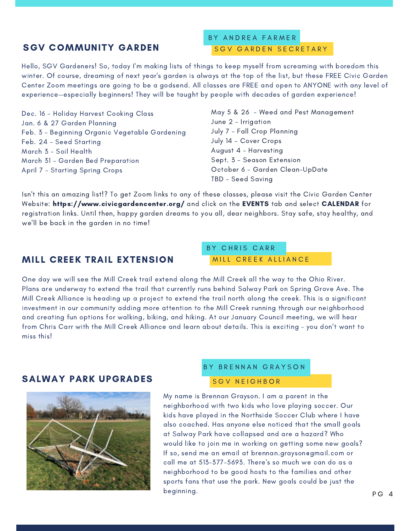## SGV COMMUNITY GARDEN

#### SGV GARDEN SECRETARY BY ANDREA FARMER

Hello, SGV Gardeners! So, today I'm making lists of things to keep myself from screaming with boredom this winter. Of course, dreaming of next year's garden is always at the top of the list, but these FREE Civic Garden Center Zoom meetings are going to be a godsend. All classes are FREE and open to ANYONE with any level of experience—especially beginners! They will be taught by people with decades of garden experience!

Dec. 16 - Holiday Harvest Cooking Class Jan. 6 & 27 Garden Planning Feb. 3 - Beginning Organic Vegetable Gardening Feb. 24 - Seed Starting March 3 - Soil Health March 31 - Garden Bed Preparation April 7 - Starting Spring Crops

May 5 & 26 - Weed and Pest Management June 2 - Irrigation July 7 - Fall Crop Planning July 14 - Cover Crops August 4 - Harvesting Sept. 3 - Season Extension October 6 - Garden Clean-UpDate TBD - Seed Saving

Isn't this an amazing list!? To get Zoom links to any of these classes, please visit the Civic Garden Center Website: https://www.civicgardencenter.org/ and click on the EVENTS tab and select CALENDAR for registration links. Until then, happy garden dreams to you all, dear neighbors. Stay safe, stay healthy, and we'll be back in the garden in no time!

#### MILL CREEK TRAIL EXTENSION

MILL CREEK ALLIANCE BY CHRIS CARR

One day we will see the Mill Creek trail extend along the Mill Creek all the way to the Ohio River. Plans are underway to extend the trail that currently runs behind Salway Park on Spring Grove Ave. The Mill Creek Alliance is heading up a project to extend the trail north along the creek. This is a significant investment in our community adding more attention to the Mill Creek running through our neighborhood and creating fun options for walking, biking, and hiking. At our January Council meeting, we will hear from Chris Carr with the Mill Creek Alliance and learn about details. This is exciting – you don't want to miss this!

#### SALWAY PARK UPGRADES



#### BY BRENNAN GRAYSON

#### S G V N E I G H B O R

My name is Brennan Grayson. I am a parent in the neighborhood with two kids who love playing soccer. Our kids have played in the Northside Soccer Club where I have also coached. Has anyone else noticed that the small goals at Salway Park have collapsed and are a hazard? Who would like to join me in working on getting some new goals? If so, send me an email at brennan.grayson@gmail.com or call me at 513-377-5693. There's so much we can do as a neighborhood to be good hosts to the families and other sports fans that use the park. New goals could be just the beginning.